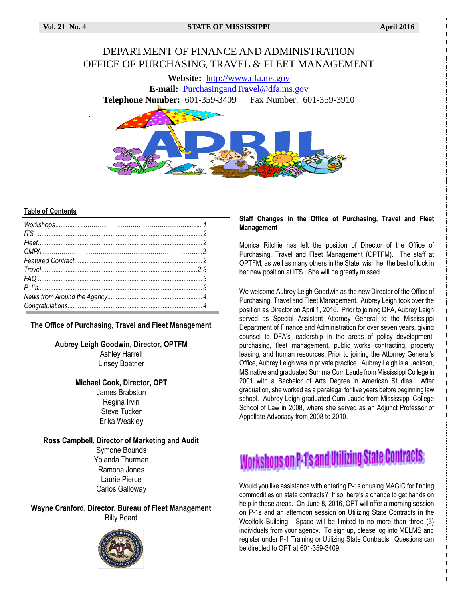#### **Vol. 21 No. 4 STATE OF MISSISSIPPI April 2016**

## DEPARTMENT OF FINANCE AND ADMINISTRATION OFFICE OF PURCHASING, TRAVEL & FLEET MANAGEMENT

**Website:** [http://www.dfa.ms.gov](http://www.dfa.ms.gov/) **E-mail:** [PurchasingandTravel@dfa.ms.gov](mailto:PurchasingandTravel@dfa.ms.gov) **Telephone Number:** 601-359-3409 Fax Number: 601-359-3910



#### **Table of Contents**

**The Office of Purchasing, Travel and Fleet Management**

**Aubrey Leigh Goodwin, Director, OPTFM** Ashley Harrell Linsey Boatner

#### **Michael Cook, Director, OPT** James Brabston Regina Irvin Steve Tucker Erika Weakley

**Ross Campbell, Director of Marketing and Audit** Symone Bounds Yolanda Thurman Ramona Jones Laurie Pierce

**Wayne Cranford, Director, Bureau of Fleet Management** Billy Beard

Carlos Galloway



#### **Staff Changes in the Office of Purchasing, Travel and Fleet Management**

Monica Ritchie has left the position of Director of the Office of Purchasing, Travel and Fleet Management (OPTFM). The staff at OPTFM, as well as many others in the State, wish her the best of luck in her new position at ITS. She will be greatly missed.

We welcome Aubrey Leigh Goodwin as the new Director of the Office of Purchasing, Travel and Fleet Management. Aubrey Leigh took over the position as Director on April 1, 2016. Prior to joining DFA, Aubrey Leigh served as Special Assistant Attorney General to the Mississippi Department of Finance and Administration for over seven years, giving counsel to DFA's leadership in the areas of policy development, purchasing, fleet management, public works contracting, property leasing, and human resources. Prior to joining the Attorney General's Office, Aubrey Leigh was in private practice. Aubrey Leigh is a Jackson, MS native and graduated Summa Cum Laude from Mississippi College in 2001 with a Bachelor of Arts Degree in American Studies. After graduation, she worked as a paralegal for five years before beginning law school. Aubrey Leigh graduated Cum Laude from Mississippi College School of Law in 2008, where she served as an Adjunct Professor of Appellate Advocacy from 2008 to 2010.

# **Workshops on P-1's and Utilizing State Contracts**

Would you like assistance with entering P-1s or using MAGIC for finding commodities on state contracts? If so, here's a chance to get hands on help in these areas. On June 8, 2016, OPT will offer a morning session on P-1s and an afternoon session on Utilizing State Contracts in the Woolfolk Building. Space will be limited to no more than three (3) individuals from your agency. To sign up, please log into MELMS and register under P-1 Training or Utilizing State Contracts. Questions can be directed to OPT at 601-359-3409.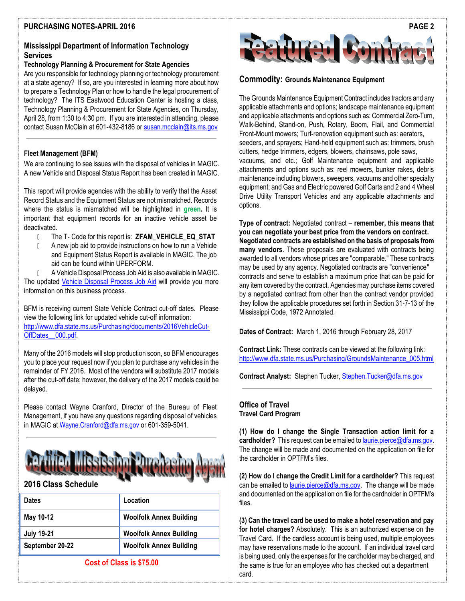## **PURCHASING NOTES-APRIL 2016**

#### **Mississippi Department of Information Technology Services**

### **Technology Planning & Procurement for State Agencies**

Are you responsible for technology planning or technology procurement at a state agency? If so, are you interested in learning more about how to prepare a Technology Plan or how to handle the legal procurement of technology? The ITS Eastwood Education Center is hosting a class, Technology Planning & Procurement for State Agencies, on Thursday, April 28, from 1:30 to 4:30 pm. If you are interested in attending, please contact Susan McClain at 601-432-8186 o[r susan.mcclain@its.ms.gov](mailto:susan.mcclain@its.ms.gov)

#### **Fleet Management (BFM)**

We are continuing to see issues with the disposal of vehicles in MAGIC. A new Vehicle and Disposal Status Report has been created in MAGIC.

This report will provide agencies with the ability to verify that the Asset Record Status and the Equipment Status are not mismatched. Records where the status is mismatched will be highlighted in **green.** It is important that equipment records for an inactive vehicle asset be deactivated.

- $\mathbb{R}$ The T- Code for this report is: **ZFAM\_VEHICLE\_EQ\_STAT**
- A new job aid to provide instructions on how to run a Vehicle  $\mathbb{R}$ and Equipment Status Report is available in MAGIC. The job aid can be found within UPERFORM.
- A Vehicle Disposal Process Job Aid is also available in MAGIC. The updated [Vehicle Disposal Process Job Aid](http://uperform.magic.ms.gov/ucontent/1432fcb11b12487abd1acace89079075_en-US/index.pdf) will provide you more information on this business process.

BFM is receiving current State Vehicle Contract cut-off dates. Please view the following link for updated vehicle cut-off information: [http://www.dfa.state.ms.us/Purchasing/documents/2016VehicleCut-](http://www.dfa.state.ms.us/Purchasing/documents/2016VehicleCut-OffDates__000.pdf)OffDates\_000.pdf.

Many of the 2016 models will stop production soon, so BFM encourages you to place your request now if you plan to purchase any vehicles in the remainder of FY 2016. Most of the vendors will substitute 2017 models after the cut-off date; however, the delivery of the 2017 models could be delayed.

Please contact Wayne Cranford, Director of the Bureau of Fleet Management, if you have any questions regarding disposal of vehicles in MAGIC a[t Wayne.Cranford@dfa.ms.gov](mailto:Wayne.Cranford@dfa.ms.gov) or 601-359-5041.



| <b>Dates</b>            | Location                       |  |
|-------------------------|--------------------------------|--|
| May 10-12               | <b>Woolfolk Annex Building</b> |  |
| <b>July 19-21</b>       | <b>Woolfolk Annex Building</b> |  |
| September 20-22         | <b>Woolfolk Annex Building</b> |  |
| Cant of Clang in C75.00 |                                |  |

**Cost of Class is \$75.00**



#### **Commodity: Grounds Maintenance Equipment**

The Grounds Maintenance Equipment Contract includes tractors and any applicable attachments and options; landscape maintenance equipment and applicable attachments and options such as: Commercial Zero-Turn, Walk-Behind, Stand-on, Push, Rotary, Boom, Flail, and Commercial Front-Mount mowers; Turf-renovation equipment such as: aerators, seeders, and sprayers; Hand-held equipment such as: trimmers, brush cutters, hedge trimmers, edgers, blowers, chainsaws, pole saws, vacuums, and etc.; Golf Maintenance equipment and applicable attachments and options such as: reel mowers, bunker rakes, debris maintenance including blowers, sweepers, vacuums and other specialty equipment; and Gas and Electric powered Golf Carts and 2 and 4 Wheel Drive Utility Transport Vehicles and any applicable attachments and options.

**Type of contract:** Negotiated contract – **remember, this means that you can negotiate your best price from the vendors on contract. Negotiated contracts are established on the basis of proposals from many vendors**. These proposals are evaluated with contracts being awarded to all vendors whose prices are "comparable." These contracts may be used by any agency. Negotiated contracts are "convenience" contracts and serve to establish a maximum price that can be paid for any item covered by the contract. Agencies may purchase items covered by a negotiated contract from other than the contract vendor provided they follow the applicable procedures set forth in Section 31-7-13 of the Mississippi Code, 1972 Annotated.

**Dates of Contract:** March 1, 2016 through February 28, 2017

**Contract Link:** These contracts can be viewed at the following link: [http://www.dfa.state.ms.us/Purchasing/GroundsMaintenance\\_005.html](http://www.dfa.state.ms.us/Purchasing/GroundsMaintenance_005.html)

**Contract Analyst:** Stephen Tucker[, Stephen.Tucker@dfa.ms.gov](mailto:Stephen.Tucker@dfa.ms.gov)

#### **Office of Travel Travel Card Program**

**(1) How do I change the Single Transaction action limit for a cardholder?** This request can be emailed t[o laurie.pierce@dfa.ms.gov.](mailto:laurie.pierce@dfa.ms.gov)  The change will be made and documented on the application on file for the cardholder in OPTFM's files.

**(2) How do I change the Credit Limit for a cardholder?** This request can be emailed t[o laurie.pierce@dfa.ms.gov.](mailto:laurie.pierce@dfa.ms.gov) The change will be made and documented on the application on file for the cardholder in OPTFM's files.

**(3) Can the travel card be used to make a hotel reservation and pay for hotel charges?** Absolutely. This is an authorized expense on the Travel Card. If the cardless account is being used, multiple employees may have reservations made to the account. If an individual travel card is being used, only the expenses for the cardholder may be charged, and the same is true for an employee who has checked out a department card.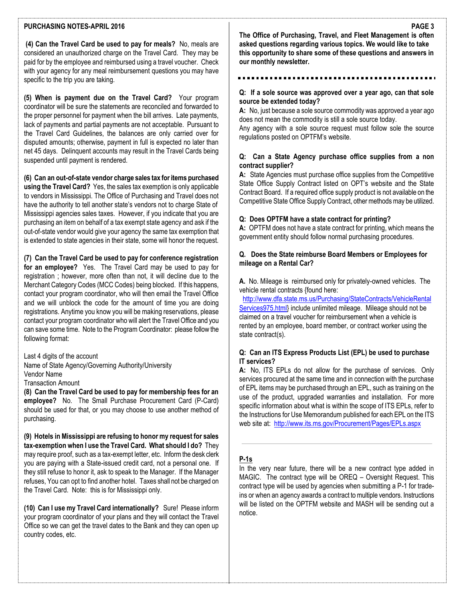#### **PURCHASING NOTES-APRIL 2016**

**(4) Can the Travel Card be used to pay for meals?** No, meals are considered an unauthorized charge on the Travel Card. They may be paid for by the employee and reimbursed using a travel voucher. Check with your agency for any meal reimbursement questions you may have specific to the trip you are taking.

**(5) When is payment due on the Travel Card?** Your program coordinator will be sure the statements are reconciled and forwarded to the proper personnel for payment when the bill arrives. Late payments, lack of payments and partial payments are not acceptable. Pursuant to the Travel Card Guidelines, the balances are only carried over for disputed amounts; otherwise, payment in full is expected no later than net 45 days. Delinquent accounts may result in the Travel Cards being suspended until payment is rendered.

**(6) Can an out-of-state vendor charge sales tax for items purchased using the Travel Card?** Yes, the sales tax exemption is only applicable to vendors in Mississippi. The Office of Purchasing and Travel does not have the authority to tell another state's vendors not to charge State of Mississippi agencies sales taxes. However, if you indicate that you are purchasing an item on behalf of a tax exempt state agency and ask if the out-of-state vendor would give your agency the same tax exemption that is extended to state agencies in their state, some will honor the request.

**(7) Can the Travel Card be used to pay for conference registration for an employee?** Yes. The Travel Card may be used to pay for registration ; however, more often than not, it will decline due to the Merchant Category Codes (MCC Codes) being blocked. If this happens, contact your program coordinator, who will then email the Travel Office and we will unblock the code for the amount of time you are doing registrations. Anytime you know you will be making reservations, please contact your program coordinator who will alert the Travel Office and you can save some time. Note to the Program Coordinator: please follow the following format:

Last 4 digits of the account Name of State Agency/Governing Authority/University Vendor Name

Transaction Amount

**(8) Can the Travel Card be used to pay for membership fees for an employee?** No. The Small Purchase Procurement Card (P-Card) should be used for that, or you may choose to use another method of purchasing.

**(9) Hotels in Mississippi are refusing to honor my request for sales tax-exemption when I use the Travel Card. What should I do?** They may require proof, such as a tax-exempt letter, etc. Inform the desk clerk you are paying with a State-issued credit card, not a personal one. If they still refuse to honor it, ask to speak to the Manager. If the Manager refuses, You can opt to find another hotel. Taxes shall not be charged on the Travel Card. Note: this is for Mississippi only.

**(10) Can I use my Travel Card internationally?** Sure! Please inform your program coordinator of your plans and they will contact the Travel Office so we can get the travel dates to the Bank and they can open up country codes, etc.

**The Office of Purchasing, Travel, and Fleet Management is often asked questions regarding various topics. We would like to take this opportunity to share some of these questions and answers in our monthly newsletter.**

#### **Q: If a sole source was approved over a year ago, can that sole source be extended today?**

**A:** No, just because a sole source commodity was approved a year ago does not mean the commodity is still a sole source today.

Any agency with a sole source request must follow sole the source regulations posted on OPTFM's website.

#### **Q: Can a State Agency purchase office supplies from a non contract supplier?**

**A:** State Agencies must purchase office supplies from the Competitive State Office Supply Contract listed on OPT's website and the State Contract Board. If a required office supply product is not available on the Competitive State Office Supply Contract, other methods may be utilized.

#### **Q: Does OPTFM have a state contract for printing?**

**A:** OPTFM does not have a state contract for printing, which means the government entity should follow normal purchasing procedures.

#### **Q. Does the State reimburse Board Members or Employees for mileage on a Rental Car?**

**A.** No. Mileage is reimbursed only for privately-owned vehicles. The vehicle rental contracts {found here:

 [http://www.dfa.state.ms.us/Purchasing/StateContracts/VehicleRental](http://www.dfa.state.ms.us/Purchasing/StateContracts/VehicleRentalServices975.html) [Services975.html}](http://www.dfa.state.ms.us/Purchasing/StateContracts/VehicleRentalServices975.html) include unlimited mileage. Mileage should not be claimed on a travel voucher for reimbursement when a vehicle is rented by an employee, board member, or contract worker using the state contract(s).

#### **Q: Can an ITS Express Products List (EPL) be used to purchase IT services?**

**A:** No, ITS EPLs do not allow for the purchase of services. Only services procured at the same time and in connection with the purchase of EPL items may be purchased through an EPL, such as training on the use of the product, upgraded warranties and installation. For more specific information about what is within the scope of ITS EPLs, refer to the Instructions for Use Memorandum published for each EPL on the ITS web site at: <http://www.its.ms.gov/Procurement/Pages/EPLs.aspx>

#### **P-1s**

In the very near future, there will be a new contract type added in MAGIC. The contract type will be OREQ – Oversight Request. This contract type will be used by agencies when submitting a P-1 for tradeins or when an agency awards a contract to multiple vendors. Instructions will be listed on the OPTFM website and MASH will be sending out a notice.